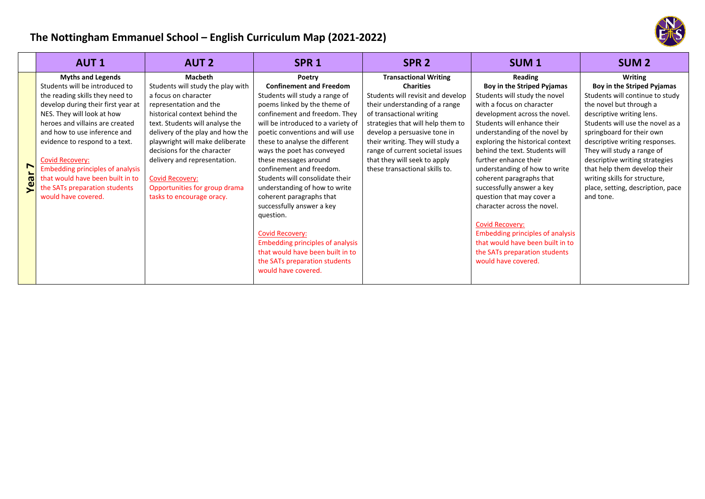## **The Nottingham Emmanuel School – English Curriculum Map (2021‐2022)**

| <b>Myths and Legends</b><br><b>Macbeth</b><br><b>Transactional Writing</b><br>Reading<br>Poetry<br>Students will be introduced to<br>Students will study the play with<br><b>Confinement and Freedom</b><br><b>Charities</b><br>Boy in the Striped Pyjamas<br>the reading skills they need to<br>Students will study a range of<br>Students will revisit and develop<br>Students will study the novel<br>a focus on character<br>develop during their first year at<br>poems linked by the theme of<br>their understanding of a range<br>with a focus on character<br>representation and the<br>NES. They will look at how<br>confinement and freedom. They<br>of transactional writing<br>historical context behind the<br>development across the novel.<br>heroes and villains are created<br>text. Students will analyse the<br>will be introduced to a variety of<br>Students will enhance their<br>strategies that will help them to<br>delivery of the play and how the<br>and how to use inference and<br>poetic conventions and will use<br>develop a persuasive tone in<br>understanding of the novel by<br>exploring the historical context<br>playwright will make deliberate<br>these to analyse the different<br>their writing. They will study a<br>evidence to respond to a text.<br>decisions for the character<br>range of current societal issues<br>ways the poet has conveyed<br>behind the text. Students will<br>that they will seek to apply<br>delivery and representation.<br>these messages around<br>further enhance their<br>Covid Recovery:<br>r<br><b>Embedding principles of analysis</b><br>confinement and freedom.<br>these transactional skills to.<br>understanding of how to write<br>that would have been built in to<br>Students will consolidate their<br><b>Covid Recovery:</b><br>coherent paragraphs that<br>Opportunities for group drama<br>understanding of how to write<br>the SATs preparation students<br>successfully answer a key<br>≍<br>would have covered.<br>and tone.<br>tasks to encourage oracy.<br>coherent paragraphs that<br>question that may cover a | SPR <sub>2</sub><br>SUM <sub>1</sub><br><b>SUM 2</b>                                                                                                                                                                                                                                                                                                                                                                                            | SPR <sub>1</sub>          | <b>AUT 2</b> | <b>AUT1</b> |  |
|---------------------------------------------------------------------------------------------------------------------------------------------------------------------------------------------------------------------------------------------------------------------------------------------------------------------------------------------------------------------------------------------------------------------------------------------------------------------------------------------------------------------------------------------------------------------------------------------------------------------------------------------------------------------------------------------------------------------------------------------------------------------------------------------------------------------------------------------------------------------------------------------------------------------------------------------------------------------------------------------------------------------------------------------------------------------------------------------------------------------------------------------------------------------------------------------------------------------------------------------------------------------------------------------------------------------------------------------------------------------------------------------------------------------------------------------------------------------------------------------------------------------------------------------------------------------------------------------------------------------------------------------------------------------------------------------------------------------------------------------------------------------------------------------------------------------------------------------------------------------------------------------------------------------------------------------------------------------------------------------------------------------------------------------------------------------------------------------------------------------|-------------------------------------------------------------------------------------------------------------------------------------------------------------------------------------------------------------------------------------------------------------------------------------------------------------------------------------------------------------------------------------------------------------------------------------------------|---------------------------|--------------|-------------|--|
| question.<br><b>Covid Recovery:</b><br><b>Embedding principles of analysis</b><br><b>Covid Recovery:</b><br><b>Embedding principles of analysis</b><br>that would have been built in to<br>that would have been built in to<br>the SATs preparation students                                                                                                                                                                                                                                                                                                                                                                                                                                                                                                                                                                                                                                                                                                                                                                                                                                                                                                                                                                                                                                                                                                                                                                                                                                                                                                                                                                                                                                                                                                                                                                                                                                                                                                                                                                                                                                                        | <b>Writing</b><br>Boy in the Striped Pyjamas<br>Students will continue to study<br>the novel but through a<br>descriptive writing lens.<br>Students will use the novel as a<br>springboard for their own<br>descriptive writing responses.<br>They will study a range of<br>descriptive writing strategies<br>that help them develop their<br>writing skills for structure,<br>place, setting, description, pace<br>character across the novel. | successfully answer a key |              |             |  |

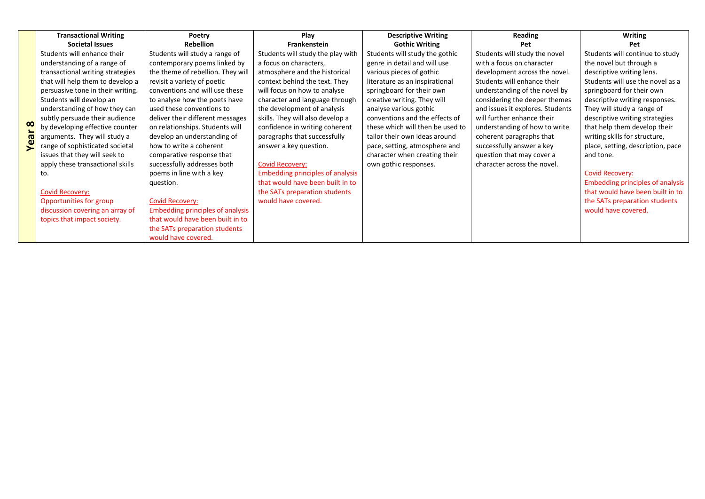|            | <b>Transactional Writing</b>      | Poetry                                  | Play                                    | <b>Descriptive Writing</b>       | Reading                          | <b>Writing</b>                          |
|------------|-----------------------------------|-----------------------------------------|-----------------------------------------|----------------------------------|----------------------------------|-----------------------------------------|
|            | <b>Societal Issues</b>            | <b>Rebellion</b>                        | Frankenstein                            | <b>Gothic Writing</b>            | Pet                              | Pet                                     |
|            | Students will enhance their       | Students will study a range of          | Students will study the play with       | Students will study the gothic   | Students will study the novel    | Students will continue to study         |
|            | understanding of a range of       | contemporary poems linked by            | a focus on characters,                  | genre in detail and will use     | with a focus on character        | the novel but through a                 |
|            | transactional writing strategies  | the theme of rebellion. They will       | atmosphere and the historical           | various pieces of gothic         | development across the novel.    | descriptive writing lens.               |
|            | that will help them to develop a  | revisit a variety of poetic             | context behind the text. They           | literature as an inspirational   | Students will enhance their      | Students will use the novel as a        |
|            | persuasive tone in their writing. | conventions and will use these          | will focus on how to analyse            | springboard for their own        | understanding of the novel by    | springboard for their own               |
|            | Students will develop an          | to analyse how the poets have           | character and language through          | creative writing. They will      | considering the deeper themes    | descriptive writing responses.          |
|            | understanding of how they can     | used these conventions to               | the development of analysis             | analyse various gothic           | and issues it explores. Students | They will study a range of              |
|            | subtly persuade their audience    | deliver their different messages        | skills. They will also develop a        | conventions and the effects of   | will further enhance their       | descriptive writing strategies          |
| $\infty$   | by developing effective counter   | on relationships. Students will         | confidence in writing coherent          | these which will then be used to | understanding of how to write    | that help them develop their            |
| <b>Tea</b> | arguments. They will study a      | develop an understanding of             | paragraphs that successfully            | tailor their own ideas around    | coherent paragraphs that         | writing skills for structure,           |
|            | range of sophisticated societal   | how to write a coherent                 | answer a key question.                  | pace, setting, atmosphere and    | successfully answer a key        | place, setting, description, pace       |
|            | issues that they will seek to     | comparative response that               |                                         | character when creating their    | question that may cover a        | and tone.                               |
|            | apply these transactional skills  | successfully addresses both             | <b>Covid Recovery:</b>                  | own gothic responses.            | character across the novel.      |                                         |
|            | to.                               | poems in line with a key                | <b>Embedding principles of analysis</b> |                                  |                                  | <b>Covid Recovery:</b>                  |
|            |                                   | question.                               | that would have been built in to        |                                  |                                  | <b>Embedding principles of analysis</b> |
|            | <b>Covid Recovery:</b>            |                                         | the SATs preparation students           |                                  |                                  | that would have been built in to        |
|            | Opportunities for group           | <b>Covid Recovery:</b>                  | would have covered.                     |                                  |                                  | the SATs preparation students           |
|            | discussion covering an array of   | <b>Embedding principles of analysis</b> |                                         |                                  |                                  | would have covered.                     |
|            | topics that impact society.       | that would have been built in to        |                                         |                                  |                                  |                                         |
|            |                                   | the SATs preparation students           |                                         |                                  |                                  |                                         |
|            |                                   | would have covered.                     |                                         |                                  |                                  |                                         |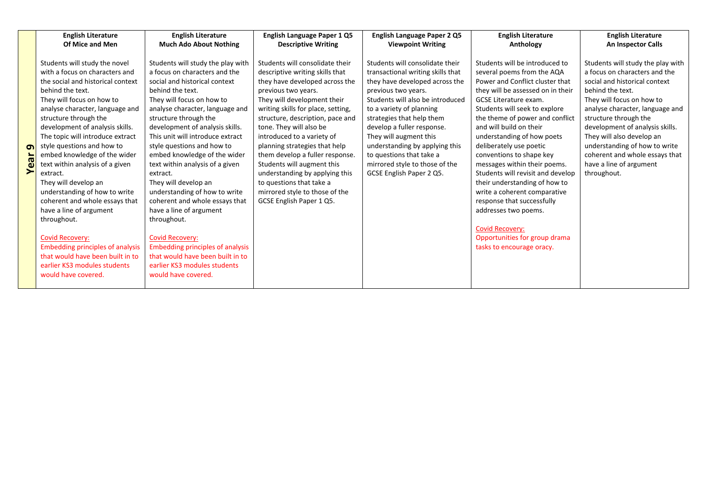| <b>English Literature</b>                                                                                                                                                                                                                                                                                                                                                                                                                                                                                                                                                                                                                                                                                                  | <b>English Literature</b>                                                                                                                                                                                                                                                                                                                                                                                                                                                                                                                                                                                                                                                                                 | English Language Paper 1 Q5                                                                                                                                                                                                                                                                                                                                                                                                                                                                                                 | <b>English Language Paper 2 Q5</b>                                                                                                                                                                                                                                                                                                                                                                             | <b>English Literature</b>                                                                                                                                                                                                                                                                                                                                                                                                                                                                                                                                                                                                                    | <b>English Literature</b>                                                                                                                                                                                                                                                                                                                                                                     |
|----------------------------------------------------------------------------------------------------------------------------------------------------------------------------------------------------------------------------------------------------------------------------------------------------------------------------------------------------------------------------------------------------------------------------------------------------------------------------------------------------------------------------------------------------------------------------------------------------------------------------------------------------------------------------------------------------------------------------|-----------------------------------------------------------------------------------------------------------------------------------------------------------------------------------------------------------------------------------------------------------------------------------------------------------------------------------------------------------------------------------------------------------------------------------------------------------------------------------------------------------------------------------------------------------------------------------------------------------------------------------------------------------------------------------------------------------|-----------------------------------------------------------------------------------------------------------------------------------------------------------------------------------------------------------------------------------------------------------------------------------------------------------------------------------------------------------------------------------------------------------------------------------------------------------------------------------------------------------------------------|----------------------------------------------------------------------------------------------------------------------------------------------------------------------------------------------------------------------------------------------------------------------------------------------------------------------------------------------------------------------------------------------------------------|----------------------------------------------------------------------------------------------------------------------------------------------------------------------------------------------------------------------------------------------------------------------------------------------------------------------------------------------------------------------------------------------------------------------------------------------------------------------------------------------------------------------------------------------------------------------------------------------------------------------------------------------|-----------------------------------------------------------------------------------------------------------------------------------------------------------------------------------------------------------------------------------------------------------------------------------------------------------------------------------------------------------------------------------------------|
| Of Mice and Men                                                                                                                                                                                                                                                                                                                                                                                                                                                                                                                                                                                                                                                                                                            | <b>Much Ado About Nothing</b>                                                                                                                                                                                                                                                                                                                                                                                                                                                                                                                                                                                                                                                                             | <b>Descriptive Writing</b>                                                                                                                                                                                                                                                                                                                                                                                                                                                                                                  | <b>Viewpoint Writing</b>                                                                                                                                                                                                                                                                                                                                                                                       | Anthology                                                                                                                                                                                                                                                                                                                                                                                                                                                                                                                                                                                                                                    | An Inspector Calls                                                                                                                                                                                                                                                                                                                                                                            |
| Students will study the novel<br>with a focus on characters and<br>the social and historical context<br>behind the text.<br>They will focus on how to<br>analyse character, language and<br>structure through the<br>development of analysis skills.<br>The topic will introduce extract<br>style questions and how to<br>ഹ<br>embed knowledge of the wider<br>ര<br>text within analysis of a given<br>۵ĭ<br>extract.<br>They will develop an<br>understanding of how to write<br>coherent and whole essays that<br>have a line of argument<br>throughout.<br><b>Covid Recovery:</b><br><b>Embedding principles of analysis</b><br>that would have been built in to<br>earlier KS3 modules students<br>would have covered. | Students will study the play with<br>a focus on characters and the<br>social and historical context<br>behind the text.<br>They will focus on how to<br>analyse character, language and<br>structure through the<br>development of analysis skills.<br>This unit will introduce extract<br>style questions and how to<br>embed knowledge of the wider<br>text within analysis of a given<br>extract.<br>They will develop an<br>understanding of how to write<br>coherent and whole essays that<br>have a line of argument<br>throughout.<br><b>Covid Recovery:</b><br><b>Embedding principles of analysis</b><br>that would have been built in to<br>earlier KS3 modules students<br>would have covered. | Students will consolidate their<br>descriptive writing skills that<br>they have developed across the<br>previous two years.<br>They will development their<br>writing skills for place, setting,<br>structure, description, pace and<br>tone. They will also be<br>introduced to a variety of<br>planning strategies that help<br>them develop a fuller response.<br>Students will augment this<br>understanding by applying this<br>to questions that take a<br>mirrored style to those of the<br>GCSE English Paper 1 Q5. | Students will consolidate their<br>transactional writing skills that<br>they have developed across the<br>previous two years.<br>Students will also be introduced<br>to a variety of planning<br>strategies that help them<br>develop a fuller response.<br>They will augment this<br>understanding by applying this<br>to questions that take a<br>mirrored style to those of the<br>GCSE English Paper 2 Q5. | Students will be introduced to<br>several poems from the AQA<br>Power and Conflict cluster that<br>they will be assessed on in their<br><b>GCSE Literature exam.</b><br>Students will seek to explore<br>the theme of power and conflict<br>and will build on their<br>understanding of how poets<br>deliberately use poetic<br>conventions to shape key<br>messages within their poems.<br>Students will revisit and develop<br>their understanding of how to<br>write a coherent comparative<br>response that successfully<br>addresses two poems.<br><b>Covid Recovery:</b><br>Opportunities for group drama<br>tasks to encourage oracy. | Students will study the play with<br>a focus on characters and the<br>social and historical context<br>behind the text.<br>They will focus on how to<br>analyse character, language and<br>structure through the<br>development of analysis skills.<br>They will also develop an<br>understanding of how to write<br>coherent and whole essays that<br>have a line of argument<br>throughout. |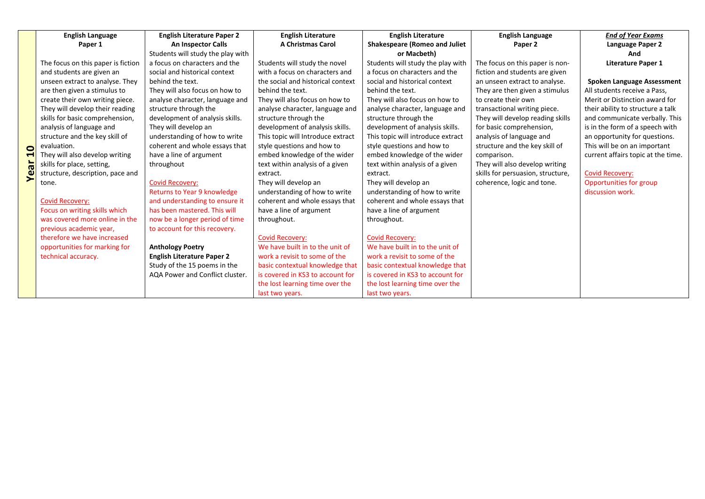|          | <b>English Language</b>            | <b>English Literature Paper 2</b> | <b>English Literature</b>         | <b>English Literature</b>            | <b>English Language</b>           | <b>End of Year Exams</b>           |
|----------|------------------------------------|-----------------------------------|-----------------------------------|--------------------------------------|-----------------------------------|------------------------------------|
|          | Paper 1                            | <b>An Inspector Calls</b>         | <b>A Christmas Carol</b>          | <b>Shakespeare (Romeo and Juliet</b> | Paper 2                           | Language Paper 2                   |
|          |                                    | Students will study the play with |                                   | or Macbeth)                          |                                   | And                                |
|          | The focus on this paper is fiction | a focus on characters and the     | Students will study the novel     | Students will study the play with    | The focus on this paper is non-   | <b>Literature Paper 1</b>          |
|          | and students are given an          | social and historical context     | with a focus on characters and    | a focus on characters and the        | fiction and students are given    |                                    |
|          | unseen extract to analyse. They    | behind the text.                  | the social and historical context | social and historical context        | an unseen extract to analyse.     | <b>Spoken Language Assessment</b>  |
|          | are then given a stimulus to       | They will also focus on how to    | behind the text.                  | behind the text.                     | They are then given a stimulus    | All students receive a Pass,       |
|          | create their own writing piece.    | analyse character, language and   | They will also focus on how to    | They will also focus on how to       | to create their own               | Merit or Distinction award for     |
|          | They will develop their reading    | structure through the             | analyse character, language and   | analyse character, language and      | transactional writing piece.      | their ability to structure a talk  |
|          | skills for basic comprehension,    | development of analysis skills.   | structure through the             | structure through the                | They will develop reading skills  | and communicate verbally. This     |
|          | analysis of language and           | They will develop an              | development of analysis skills.   | development of analysis skills.      | for basic comprehension,          | is in the form of a speech with    |
|          | structure and the key skill of     | understanding of how to write     | This topic will Introduce extract | This topic will introduce extract    | analysis of language and          | an opportunity for questions.      |
| 0        | evaluation.                        | coherent and whole essays that    | style questions and how to        | style questions and how to           | structure and the key skill of    | This will be on an important       |
|          | They will also develop writing     | have a line of argument           | embed knowledge of the wider      | embed knowledge of the wider         | comparison.                       | current affairs topic at the time. |
| ಕ        | skills for place, setting,         | throughout                        | text within analysis of a given   | text within analysis of a given      | They will also develop writing    |                                    |
| $\omega$ | structure, description, pace and   |                                   | extract.                          | extract.                             | skills for persuasion, structure, | <b>Covid Recovery:</b>             |
|          | tone.                              | <b>Covid Recovery:</b>            | They will develop an              | They will develop an                 | coherence, logic and tone.        | Opportunities for group            |
|          |                                    | Returns to Year 9 knowledge       | understanding of how to write     | understanding of how to write        |                                   | discussion work.                   |
|          | <b>Covid Recovery:</b>             | and understanding to ensure it    | coherent and whole essays that    | coherent and whole essays that       |                                   |                                    |
|          | Focus on writing skills which      | has been mastered. This will      | have a line of argument           | have a line of argument              |                                   |                                    |
|          | was covered more online in the     | now be a longer period of time    | throughout.                       | throughout.                          |                                   |                                    |
|          | previous academic year,            | to account for this recovery.     |                                   |                                      |                                   |                                    |
|          | therefore we have increased        |                                   | <b>Covid Recovery:</b>            | <b>Covid Recovery:</b>               |                                   |                                    |
|          | opportunities for marking for      | <b>Anthology Poetry</b>           | We have built in to the unit of   | We have built in to the unit of      |                                   |                                    |
|          | technical accuracy.                | <b>English Literature Paper 2</b> | work a revisit to some of the     | work a revisit to some of the        |                                   |                                    |
|          |                                    | Study of the 15 poems in the      | basic contextual knowledge that   | basic contextual knowledge that      |                                   |                                    |
|          |                                    | AQA Power and Conflict cluster.   | is covered in KS3 to account for  | is covered in KS3 to account for     |                                   |                                    |
|          |                                    |                                   | the lost learning time over the   | the lost learning time over the      |                                   |                                    |
|          |                                    |                                   | last two years.                   | last two years.                      |                                   |                                    |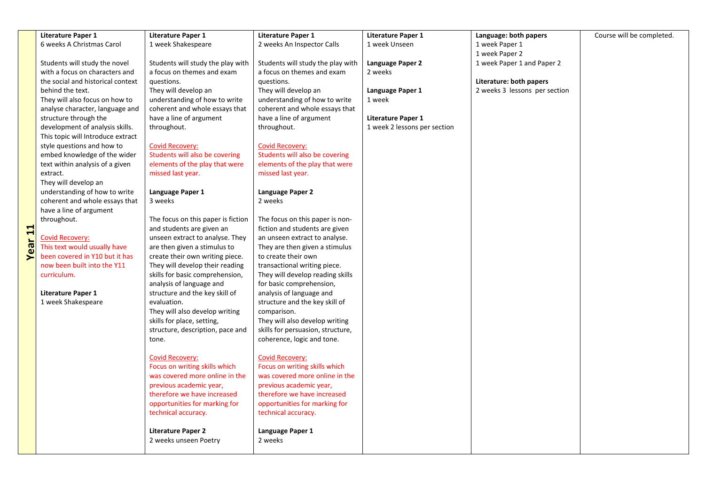|              | <b>Literature Paper 1</b>         | <b>Literature Paper 1</b>                               | <b>Literature Paper 1</b>                               | <b>Literature Paper 1</b>    | Language: both papers         | Course will be completed. |
|--------------|-----------------------------------|---------------------------------------------------------|---------------------------------------------------------|------------------------------|-------------------------------|---------------------------|
|              | 6 weeks A Christmas Carol         | 1 week Shakespeare                                      | 2 weeks An Inspector Calls                              | 1 week Unseen                | 1 week Paper 1                |                           |
|              |                                   |                                                         |                                                         |                              | 1 week Paper 2                |                           |
|              | Students will study the novel     | Students will study the play with                       | Students will study the play with                       | Language Paper 2             | 1 week Paper 1 and Paper 2    |                           |
|              | with a focus on characters and    | a focus on themes and exam                              | a focus on themes and exam                              | 2 weeks                      |                               |                           |
|              | the social and historical context | questions.                                              | questions.                                              |                              | Literature: both papers       |                           |
|              | behind the text.                  | They will develop an                                    | They will develop an                                    | Language Paper 1             | 2 weeks 3 lessons per section |                           |
|              | They will also focus on how to    | understanding of how to write                           | understanding of how to write                           | 1 week                       |                               |                           |
|              | analyse character, language and   | coherent and whole essays that                          | coherent and whole essays that                          |                              |                               |                           |
|              | structure through the             | have a line of argument                                 | have a line of argument                                 | <b>Literature Paper 1</b>    |                               |                           |
|              | development of analysis skills.   | throughout.                                             | throughout.                                             | 1 week 2 lessons per section |                               |                           |
|              | This topic will Introduce extract |                                                         |                                                         |                              |                               |                           |
|              | style questions and how to        | <b>Covid Recovery:</b>                                  | <b>Covid Recovery:</b>                                  |                              |                               |                           |
|              | embed knowledge of the wider      | Students will also be covering                          | Students will also be covering                          |                              |                               |                           |
|              | text within analysis of a given   | elements of the play that were                          | elements of the play that were                          |                              |                               |                           |
|              | extract.<br>They will develop an  | missed last year.                                       | missed last year.                                       |                              |                               |                           |
|              | understanding of how to write     | Language Paper 1                                        | Language Paper 2                                        |                              |                               |                           |
|              | coherent and whole essays that    | 3 weeks                                                 | 2 weeks                                                 |                              |                               |                           |
|              | have a line of argument           |                                                         |                                                         |                              |                               |                           |
|              | throughout.                       | The focus on this paper is fiction                      | The focus on this paper is non-                         |                              |                               |                           |
| $\mathbf{1}$ |                                   | and students are given an                               | fiction and students are given                          |                              |                               |                           |
|              | <b>Covid Recovery:</b>            | unseen extract to analyse. They                         | an unseen extract to analyse.                           |                              |                               |                           |
| ear          | This text would usually have      | are then given a stimulus to                            | They are then given a stimulus                          |                              |                               |                           |
| ⋝            | been covered in Y10 but it has    | create their own writing piece.                         | to create their own                                     |                              |                               |                           |
|              | now been built into the Y11       | They will develop their reading                         | transactional writing piece.                            |                              |                               |                           |
|              | curriculum.                       | skills for basic comprehension,                         | They will develop reading skills                        |                              |                               |                           |
|              |                                   | analysis of language and                                | for basic comprehension,                                |                              |                               |                           |
|              | <b>Literature Paper 1</b>         | structure and the key skill of                          | analysis of language and                                |                              |                               |                           |
|              | 1 week Shakespeare                | evaluation.                                             | structure and the key skill of                          |                              |                               |                           |
|              |                                   | They will also develop writing                          | comparison.                                             |                              |                               |                           |
|              |                                   | skills for place, setting,                              | They will also develop writing                          |                              |                               |                           |
|              |                                   | structure, description, pace and                        | skills for persuasion, structure,                       |                              |                               |                           |
|              |                                   | tone.                                                   | coherence, logic and tone.                              |                              |                               |                           |
|              |                                   |                                                         |                                                         |                              |                               |                           |
|              |                                   | <b>Covid Recovery:</b><br>Focus on writing skills which | <b>Covid Recovery:</b><br>Focus on writing skills which |                              |                               |                           |
|              |                                   | was covered more online in the                          | was covered more online in the                          |                              |                               |                           |
|              |                                   | previous academic year,                                 | previous academic year,                                 |                              |                               |                           |
|              |                                   | therefore we have increased                             | therefore we have increased                             |                              |                               |                           |
|              |                                   | opportunities for marking for                           | opportunities for marking for                           |                              |                               |                           |
|              |                                   | technical accuracy.                                     | technical accuracy.                                     |                              |                               |                           |
|              |                                   |                                                         |                                                         |                              |                               |                           |
|              |                                   | <b>Literature Paper 2</b>                               | Language Paper 1                                        |                              |                               |                           |
|              |                                   | 2 weeks unseen Poetry                                   | 2 weeks                                                 |                              |                               |                           |
|              |                                   |                                                         |                                                         |                              |                               |                           |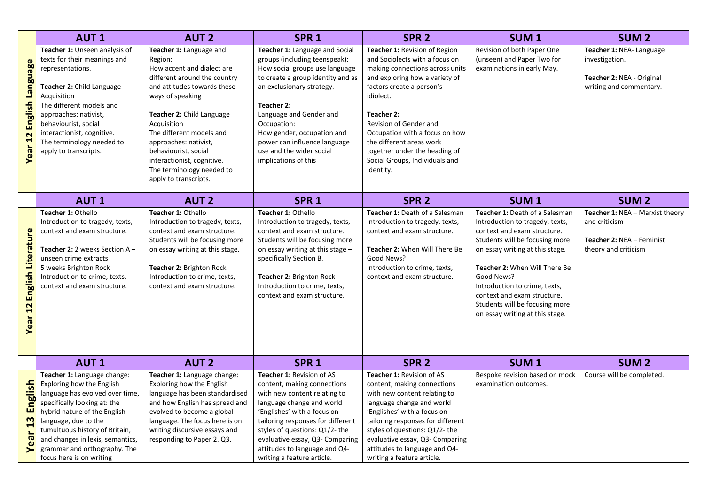|                                                                  | <b>AUT1</b>                                                                                                                                                                                                                                                                                    | <b>AUT 2</b>                                                                                                                                                                                                                                                                                                                                                            | SPR <sub>1</sub>                                                                                                                                                                                                                                                                                                                              | SPR <sub>2</sub>                                                                                                                                                                                                                                                                                                                                                     | SUM <sub>1</sub>                                                                                                                                                                                                                                                                                                                                          | <b>SUM2</b>                                                                                           |
|------------------------------------------------------------------|------------------------------------------------------------------------------------------------------------------------------------------------------------------------------------------------------------------------------------------------------------------------------------------------|-------------------------------------------------------------------------------------------------------------------------------------------------------------------------------------------------------------------------------------------------------------------------------------------------------------------------------------------------------------------------|-----------------------------------------------------------------------------------------------------------------------------------------------------------------------------------------------------------------------------------------------------------------------------------------------------------------------------------------------|----------------------------------------------------------------------------------------------------------------------------------------------------------------------------------------------------------------------------------------------------------------------------------------------------------------------------------------------------------------------|-----------------------------------------------------------------------------------------------------------------------------------------------------------------------------------------------------------------------------------------------------------------------------------------------------------------------------------------------------------|-------------------------------------------------------------------------------------------------------|
| Year 12 English Language                                         | Teacher 1: Unseen analysis of<br>texts for their meanings and<br>representations.<br>Teacher 2: Child Language<br>Acquisition<br>The different models and<br>approaches: nativist,<br>behaviourist, social<br>interactionist, cognitive.<br>The terminology needed to<br>apply to transcripts. | Teacher 1: Language and<br>Region:<br>How accent and dialect are<br>different around the country<br>and attitudes towards these<br>ways of speaking<br><b>Teacher 2: Child Language</b><br>Acquisition<br>The different models and<br>approaches: nativist,<br>behaviourist, social<br>interactionist, cognitive.<br>The terminology needed to<br>apply to transcripts. | Teacher 1: Language and Social<br>groups (including teenspeak):<br>How social groups use language<br>to create a group identity and as<br>an exclusionary strategy.<br>Teacher 2:<br>Language and Gender and<br>Occupation:<br>How gender, occupation and<br>power can influence language<br>use and the wider social<br>implications of this | Teacher 1: Revision of Region<br>and Sociolects with a focus on<br>making connections across units<br>and exploring how a variety of<br>factors create a person's<br>idiolect.<br>Teacher 2:<br>Revision of Gender and<br>Occupation with a focus on how<br>the different areas work<br>together under the heading of<br>Social Groups, Individuals and<br>Identity. | Revision of both Paper One<br>(unseen) and Paper Two for<br>examinations in early May.                                                                                                                                                                                                                                                                    | Teacher 1: NEA- Language<br>investigation.<br>Teacher 2: NEA - Original<br>writing and commentary.    |
|                                                                  | <b>AUT1</b>                                                                                                                                                                                                                                                                                    | <b>AUT 2</b>                                                                                                                                                                                                                                                                                                                                                            | SPR <sub>1</sub>                                                                                                                                                                                                                                                                                                                              | SPR <sub>2</sub>                                                                                                                                                                                                                                                                                                                                                     | SUM <sub>1</sub>                                                                                                                                                                                                                                                                                                                                          | <b>SUM 2</b>                                                                                          |
| Year 12 English Literature                                       | Teacher 1: Othello<br>Introduction to tragedy, texts,<br>context and exam structure.<br>Teacher 2: 2 weeks Section $A -$<br>unseen crime extracts<br>5 weeks Brighton Rock<br>Introduction to crime, texts,<br>context and exam structure.                                                     | Teacher 1: Othello<br>Introduction to tragedy, texts,<br>context and exam structure.<br>Students will be focusing more<br>on essay writing at this stage.<br>Teacher 2: Brighton Rock<br>Introduction to crime, texts,<br>context and exam structure.                                                                                                                   | Teacher 1: Othello<br>Introduction to tragedy, texts,<br>context and exam structure.<br>Students will be focusing more<br>on essay writing at this stage -<br>specifically Section B.<br>Teacher 2: Brighton Rock<br>Introduction to crime, texts,<br>context and exam structure.                                                             | Teacher 1: Death of a Salesman<br>Introduction to tragedy, texts,<br>context and exam structure.<br>Teacher 2: When Will There Be<br>Good News?<br>Introduction to crime, texts,<br>context and exam structure.                                                                                                                                                      | Teacher 1: Death of a Salesman<br>Introduction to tragedy, texts,<br>context and exam structure.<br>Students will be focusing more<br>on essay writing at this stage.<br>Teacher 2: When Will There Be<br>Good News?<br>Introduction to crime, texts,<br>context and exam structure.<br>Students will be focusing more<br>on essay writing at this stage. | Teacher 1: NEA - Marxist theory<br>and criticism<br>Teacher 2: NEA - Feminist<br>theory and criticism |
|                                                                  | <b>AUT1</b>                                                                                                                                                                                                                                                                                    | <b>AUT 2</b>                                                                                                                                                                                                                                                                                                                                                            | SPR <sub>1</sub>                                                                                                                                                                                                                                                                                                                              | SPR <sub>2</sub>                                                                                                                                                                                                                                                                                                                                                     | SUM <sub>1</sub>                                                                                                                                                                                                                                                                                                                                          | <b>SUM<sub>2</sub></b>                                                                                |
| English<br>$\boldsymbol{\omega}$<br>$\ddot{\phantom{1}}$<br>Year | Teacher 1: Language change:<br>Exploring how the English<br>language has evolved over time,<br>specifically looking at: the<br>hybrid nature of the English<br>language, due to the<br>tumultuous history of Britain,<br>and changes in lexis, semantics,<br>grammar and orthography. The      | Teacher 1: Language change:<br>Exploring how the English<br>language has been standardised<br>and how English has spread and<br>evolved to become a global<br>language. The focus here is on<br>writing discursive essays and<br>responding to Paper 2. Q3.                                                                                                             | Teacher 1: Revision of AS<br>content, making connections<br>with new content relating to<br>language change and world<br>'Englishes' with a focus on<br>tailoring responses for different<br>styles of questions: Q1/2- the<br>evaluative essay, Q3- Comparing<br>attitudes to language and Q4-                                               | Teacher 1: Revision of AS<br>content, making connections<br>with new content relating to<br>language change and world<br>'Englishes' with a focus on<br>tailoring responses for different<br>styles of questions: Q1/2- the<br>evaluative essay, Q3- Comparing<br>attitudes to language and Q4-                                                                      | Bespoke revision based on mock<br>examination outcomes.                                                                                                                                                                                                                                                                                                   | Course will be completed.                                                                             |